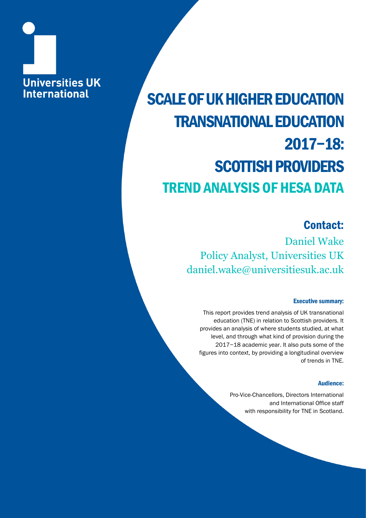# **Universities UK International**

Scale of UK HE TNE 2017−18: Scale of UK HE TNE 2017−18: Scottish providers providers providers providers provid

# SCALE OF UK HIGHER EDUCATION TRANSNATIONAL EDUCATION 2017−18: SCOTTISH PROVIDERS TREND ANALYSIS OF HESA DATA

### Contact:

Daniel Wake Policy Analyst, Universities UK daniel.wake@universitiesuk.ac.uk

### Executive summary:

This report provides trend analysis of UK transnational education (TNE) in relation to Scottish providers. It provides an analysis of where students studied, at what level, and through what kind of provision during the 2017−18 academic year. It also puts some of the figures into context, by providing a longitudinal overview of trends in TNE.

### Audience:

Pro-Vice-Chancellors, Directors International and International Office staff with responsibility for TNE in Scotland.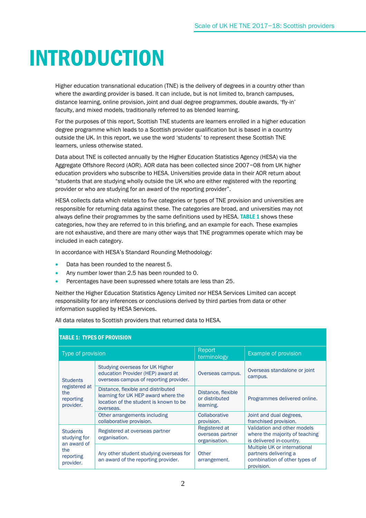# INTRODUCTION

Higher education transnational education (TNE) is the delivery of degrees in a country other than where the awarding provider is based. It can include, but is not limited to, branch campuses, distance learning, online provision, joint and dual degree programmes, double awards, 'fly-in' faculty, and mixed models, traditionally referred to as blended learning.

For the purposes of this report, Scottish TNE students are learners enrolled in a higher education degree programme which leads to a Scottish provider qualification but is based in a country outside the UK. In this report, we use the word 'students' to represent these Scottish TNE learners, unless otherwise stated.

Data about TNE is collected annually by the Higher Education Statistics Agency (HESA) via the Aggregate Offshore Record (AOR). AOR data has been collected since 2007−08 from UK higher education providers who subscribe to HESA. Universities provide data in their AOR return about "students that are studying wholly outside the UK who are either registered with the reporting provider or who are studying for an award of the reporting provider".

HESA collects data which relates to five categories or types of TNE provision and universities are responsible for returning data against these. The categories are broad, and universities may not always define their programmes by the same definitions used by HESA. TABLE 1 shows these categories, how they are referred to in this briefing, and an example for each. These examples are not exhaustive, and there are many other ways that TNE programmes operate which may be included in each category.

In accordance with HESA's Standard Rounding Methodology:

- Data has been rounded to the nearest 5.
- Any number lower than 2.5 has been rounded to 0.
- Percentages have been supressed where totals are less than 25.

Neither the Higher Education Statistics Agency Limited nor HESA Services Limited can accept responsibility for any inferences or conclusions derived by third parties from data or other information supplied by HESA Services.

| Type of provision                                                               |                                                                                                                                  | Report<br>terminology                                     | Example of provision                                                                                 |
|---------------------------------------------------------------------------------|----------------------------------------------------------------------------------------------------------------------------------|-----------------------------------------------------------|------------------------------------------------------------------------------------------------------|
| <b>Students</b>                                                                 | Studying overseas for UK Higher<br>education Provider (HEP) award at<br>overseas campus of reporting provider.                   | Overseas campus.                                          | Overseas standalone or joint<br>campus.                                                              |
| registered at<br>the<br>reporting<br>provider.                                  | Distance, flexible and distributed<br>learning for UK HEP award where the<br>location of the student is known to be<br>overseas. | Distance, flexible<br>or distributed<br>learning.         | Programmes delivered online.                                                                         |
|                                                                                 | Other arrangements including<br>collaborative provision.                                                                         | Collaborative<br>provision.                               | Joint and dual degrees,<br>franchised provision.                                                     |
| <b>Students</b><br>studying for<br>an award of<br>the<br>reporting<br>provider. | Registered at overseas partner<br>organisation.                                                                                  | <b>Registered at</b><br>overseas partner<br>organisation. | Validation and other models<br>where the majority of teaching<br>is delivered in-country.            |
|                                                                                 | Any other student studying overseas for<br>an award of the reporting provider.                                                   | Other<br>arrangement.                                     | Multiple UK or international<br>partners delivering a<br>combination of other types of<br>provision. |

All data relates to Scottish providers that returned data to HESA.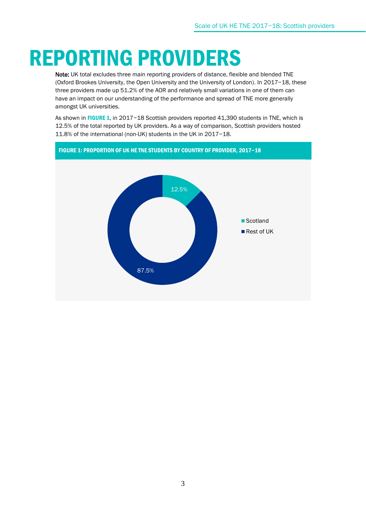# REPORTING PROVIDERS

Note: UK total excludes three main reporting providers of distance, flexible and blended TNE (Oxford Brookes University, the Open University and the University of London). In 2017−18, these three providers made up 51.2% of the AOR and relatively small variations in one of them can have an impact on our understanding of the performance and spread of TNE more generally amongst UK universities.

As shown in FIGURE 1, in 2017-18 Scottish providers reported 41,390 students in TNE, which is 12.5% of the total reported by UK providers. As a way of comparison, Scottish providers hosted 11.8% of the international (non-UK) students in the UK in 2017−18.

#### FIGURE 1: PROPORTION OF UK HE TNE STUDENTS BY COUNTRY OF PROVIDER, 2017−18

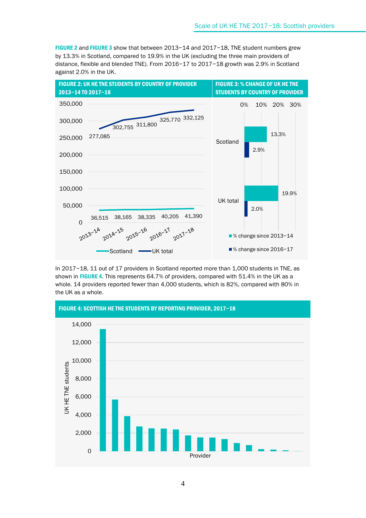FIGURE 2 and FIGURE 3 show that between 2013−14 and 2017−18, TNE student numbers grew by 13.3% in Scotland, compared to 19.9% in the UK (excluding the three main providers of distance, flexible and blended TNE). From 2016−17 to 2017−18 growth was 2.9% in Scotland against 2.0% in the UK.



In 2017−18, 11 out of 17 providers in Scotland reported more than 1,000 students in TNE, as shown in FIGURE 4. This represents 64.7% of providers, compared with 51.4% in the UK as a whole. 14 providers reported fewer than 4,000 students, which is 82%, compared with 80% in the UK as a whole.

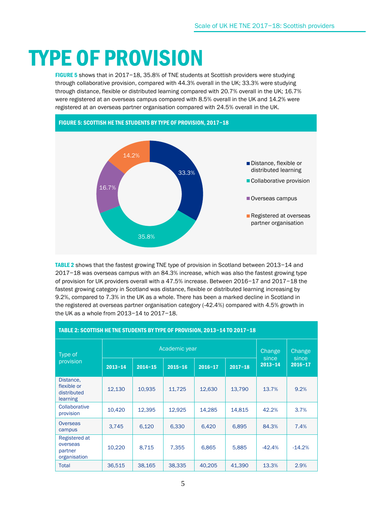# TYPE OF PROVISION

FIGURE 5 shows that in 2017−18, 35.8% of TNE students at Scottish providers were studying through collaborative provision, compared with 44.3% overall in the UK; 33.3% were studying through distance, flexible or distributed learning compared with 20.7% overall in the UK; 16.7% were registered at an overseas campus compared with 8.5% overall in the UK and 14.2% were registered at an overseas partner organisation compared with 24.5% overall in the UK.



TABLE 2 shows that the fastest growing TNE type of provision in Scotland between 2013−14 and 2017−18 was overseas campus with an 84.3% increase, which was also the fastest growing type of provision for UK providers overall with a 47.5% increase. Between 2016−17 and 2017−18 the fastest growing category in Scotland was distance, flexible or distributed learning increasing by 9.2%, compared to 7.3% in the UK as a whole. There has been a marked decline in Scotland in the registered at overseas partner organisation category (-42.4%) compared with 4.5% growth in the UK as a whole from 2013−14 to 2017−18.

| Type of                                              |             | Academic year | Change      | Change      |             |                      |                      |
|------------------------------------------------------|-------------|---------------|-------------|-------------|-------------|----------------------|----------------------|
| provision                                            | $2013 - 14$ | $2014 - 15$   | $2015 - 16$ | $2016 - 17$ | $2017 - 18$ | since<br>$2013 - 14$ | since<br>$2016 - 17$ |
| Distance,<br>flexible or<br>distributed<br>learning  | 12,130      | 10,935        | 11,725      | 12,630      | 13,790      | 13.7%                | 9.2%                 |
| Collaborative<br>provision                           | 10,420      | 12,395        | 12,925      | 14,285      | 14,815      | 42.2%                | 3.7%                 |
| Overseas<br>campus                                   | 3,745       | 6,120         | 6,330       | 6,420       | 6,895       | 84.3%                | 7.4%                 |
| Registered at<br>overseas<br>partner<br>organisation | 10,220      | 8,715         | 7,355       | 6,865       | 5,885       | $-42.4%$             | $-14.2%$             |
| <b>Total</b>                                         | 36,515      | 38,165        | 38,335      | 40,205      | 41,390      | 13.3%                | 2.9%                 |

#### TABLE 2: SCOTTISH HE TNE STUDENTS BY TYPE OF PROVISION, 2013−14 TO 2017−18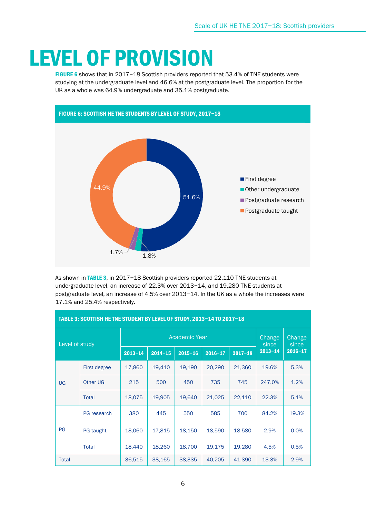# LEVEL OF PROVISION

FIGURE 6 shows that in 2017−18 Scottish providers reported that 53.4% of TNE students were studying at the undergraduate level and 46.6% at the postgraduate level. The proportion for the UK as a whole was 64.9% undergraduate and 35.1% postgraduate.



As shown in TABLE 3, in 2017−18 Scottish providers reported 22,110 TNE students at undergraduate level, an increase of 22.3% over 2013−14, and 19,280 TNE students at postgraduate level, an increase of 4.5% over 2013−14. In the UK as a whole the increases were 17.1% and 25.4% respectively.

| TABLE 3: SCOTTISH HE TNE STUDENT BY LEVEL OF STUDY, 2013-14 TO 2017-18 |                     |                      |             |             |             |             |                 |                 |
|------------------------------------------------------------------------|---------------------|----------------------|-------------|-------------|-------------|-------------|-----------------|-----------------|
| Level of study                                                         |                     | <b>Academic Year</b> |             |             |             |             | Change<br>since | Change<br>since |
|                                                                        |                     | $2013 - 14$          | $2014 - 15$ | $2015 - 16$ | $2016 - 17$ | $2017 - 18$ | $2013 - 14$     | $2016 - 17$     |
|                                                                        | <b>First degree</b> | 17,860               | 19,410      | 19,190      | 20,290      | 21,360      | 19.6%           | 5.3%            |
| UG                                                                     | <b>Other UG</b>     | 215                  | 500         | 450         | 735         | 745         | 247.0%          | 1.2%            |
|                                                                        | <b>Total</b>        | 18,075               | 19,905      | 19,640      | 21,025      | 22,110      | 22.3%           | 5.1%            |
|                                                                        | <b>PG</b> research  | 380                  | 445         | 550         | 585         | 700         | 84.2%           | 19.3%           |
| PG                                                                     | PG taught           | 18,060               | 17,815      | 18,150      | 18,590      | 18,580      | 2.9%            | 0.0%            |
|                                                                        | Total               | 18,440               | 18,260      | 18,700      | 19,175      | 19,280      | 4.5%            | 0.5%            |
| <b>Total</b>                                                           |                     | 36,515               | 38,165      | 38,335      | 40,205      | 41,390      | 13.3%           | 2.9%            |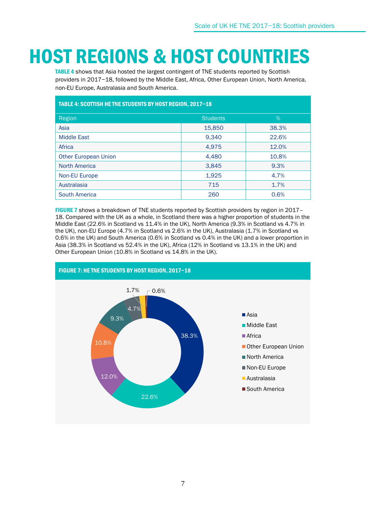# HOST REGIONS & HOST COUNTRIES

TABLE 4 shows that Asia hosted the largest contingent of TNE students reported by Scottish providers in 2017−18, followed by the Middle East, Africa, Other European Union, North America, non-EU Europe, Australasia and South America.

| TABLE 4: SCOTTISH HE TNE STUDENTS BY HOST REGION, 2017-18 |                 |       |  |
|-----------------------------------------------------------|-----------------|-------|--|
| Region                                                    | <b>Students</b> | $\%$  |  |
| Asia                                                      | 15,850          | 38.3% |  |
| <b>Middle East</b>                                        | 9,340           | 22.6% |  |
| Africa                                                    | 4,975           | 12.0% |  |
| <b>Other European Union</b>                               | 4,480           | 10.8% |  |
| <b>North America</b>                                      | 3,845           | 9.3%  |  |
| Non-EU Europe                                             | 1,925           | 4.7%  |  |
| Australasia                                               | 715             | 1.7%  |  |
| <b>South America</b>                                      | 260             | 0.6%  |  |

FIGURE 7 shows a breakdown of TNE students reported by Scottish providers by region in 2017– 18. Compared with the UK as a whole, in Scotland there was a higher proportion of students in the Middle East (22.6% in Scotland vs 11.4% in the UK), North America (9.3% in Scotland vs 4.7% in the UK), non-EU Europe (4.7% in Scotland vs 2.6% in the UK), Australasia (1.7% in Scotland vs 0.6% in the UK) and South America (0.6% in Scotland vs 0.4% in the UK) and a lower proportion in Asia (38.3% in Scotland vs 52.4% in the UK), Africa (12% in Scotland vs 13.1% in the UK) and Other European Union (10.8% in Scotland vs 14.8% in the UK).



7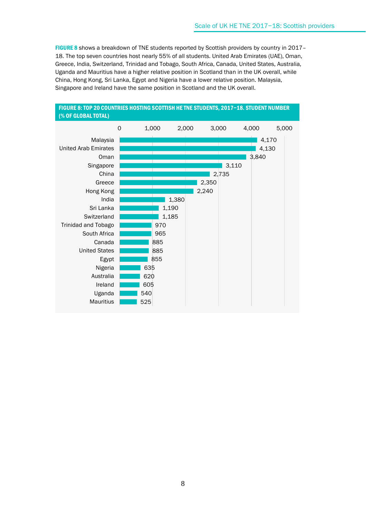FIGURE 8 shows a breakdown of TNE students reported by Scottish providers by country in 2017-18. The top seven countries host nearly 55% of all students. United Arab Emirates (UAE), Oman, Greece, India, Switzerland, Trinidad and Tobago, South Africa, Canada, United States, Australia, Uganda and Mauritius have a higher relative position in Scotland than in the UK overall, while China, Hong Kong, Sri Lanka, Egypt and Nigeria have a lower relative position. Malaysia, Singapore and Ireland have the same position in Scotland and the UK overall.



# FIGURE 8:TOP 20 COUNTRIES HOSTING SCOTTISH HE TNE STUDENTS, 2017−18. STUDENT NUMBER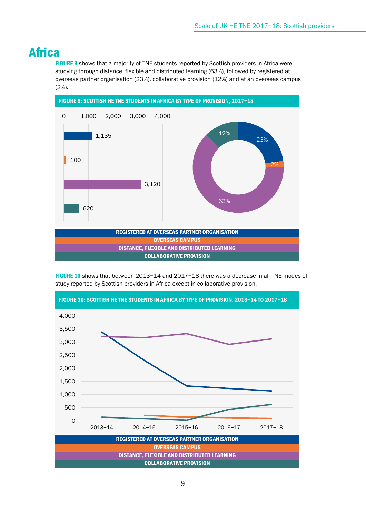## **Africa**

FIGURE 9 shows that a majority of TNE students reported by Scottish providers in Africa were studying through distance, flexible and distributed learning (63%), followed by registered at overseas partner organisation (23%), collaborative provision (12%) and at an overseas campus (2%).



FIGURE 10 shows that between 2013−14 and 2017−18 there was a decrease in all TNE modes of study reported by Scottish providers in Africa except in collaborative provision.

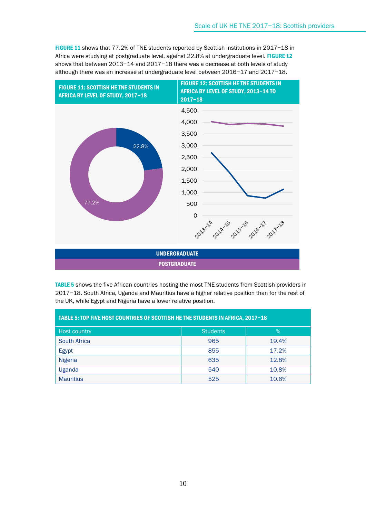FIGURE 11 shows that 77.2% of TNE students reported by Scottish institutions in 2017−18 in Africa were studying at postgraduate level, against 22.8% at undergraduate level. FIGURE 12 shows that between 2013−14 and 2017−18 there was a decrease at both levels of study although there was an increase at undergraduate level between 2016−17 and 2017−18.



TABLE 5 shows the five African countries hosting the most TNE students from Scottish providers in 2017−18. South Africa, Uganda and Mauritius have a higher relative position than for the rest of the UK, while Egypt and Nigeria have a lower relative position.

| TABLE 5: TOP FIVE HOST COUNTRIES OF SCOTTISH HE TNE STUDENTS IN AFRICA, 2017-18 |                 |       |  |  |
|---------------------------------------------------------------------------------|-----------------|-------|--|--|
| Host country                                                                    | <b>Students</b> | $\%$  |  |  |
| <b>South Africa</b>                                                             | 965             | 19.4% |  |  |
| Egypt                                                                           | 855             | 17.2% |  |  |
| Nigeria                                                                         | 635             | 12.8% |  |  |
| Uganda                                                                          | 540             | 10.8% |  |  |
| <b>Mauritius</b>                                                                | 525             | 10.6% |  |  |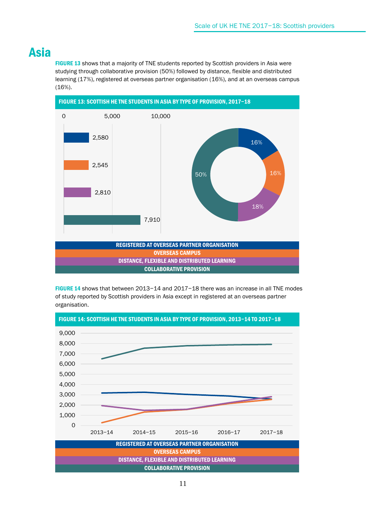## Asia

FIGURE 13 shows that a majority of TNE students reported by Scottish providers in Asia were studying through collaborative provision (50%) followed by distance, flexible and distributed learning (17%), registered at overseas partner organisation (16%), and at an overseas campus (16%).



FIGURE 14 shows that between 2013−14 and 2017−18 there was an increase in all TNE modes of study reported by Scottish providers in Asia except in registered at an overseas partner organisation.

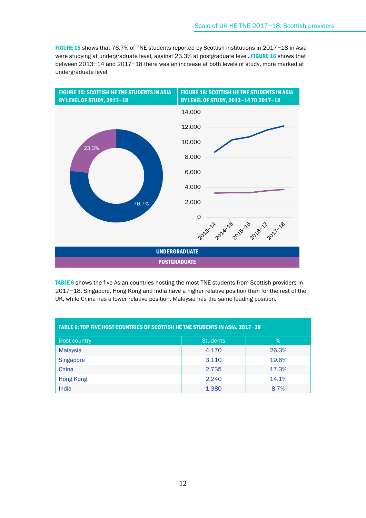FIGURE 15 shows that 76.7% of TNE students reported by Scottish institutions in 2017−18 in Asia were studying at undergraduate level, against 23.3% at postgraduate level. FIGURE 16 shows that between 2013−14 and 2017−18 there was an increase at both levels of study, more marked at undergraduate level.



TABLE 6 shows the five Asian countries hosting the most TNE students from Scottish providers in 2017−18. Singapore, Hong Kong and India have a higher relative position than for the rest of the UK, while China has a lower relative position. Malaysia has the same leading position.

| TABLE 6: TOP FIVE HOST COUNTRIES OF SCOTTISH HE TNE STUDENTS IN ASIA, 2017-18 |                 |       |  |
|-------------------------------------------------------------------------------|-----------------|-------|--|
| Host country                                                                  | <b>Students</b> | %     |  |
| Malaysia                                                                      | 4,170           | 26.3% |  |
| Singapore                                                                     | 3,110           | 19.6% |  |
| China                                                                         | 2,735           | 17.3% |  |
| Hong Kong                                                                     | 2,240           | 14.1% |  |
| India                                                                         | 1,380           | 8.7%  |  |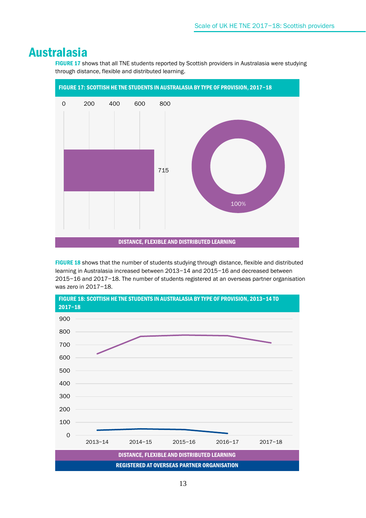## Australasia

FIGURE 17 shows that all TNE students reported by Scottish providers in Australasia were studying through distance, flexible and distributed learning.



FIGURE 18 shows that the number of students studying through distance, flexible and distributed learning in Australasia increased between 2013−14 and 2015−16 and decreased between 2015−16 and 2017−18. The number of students registered at an overseas partner organisation was zero in 2017−18.

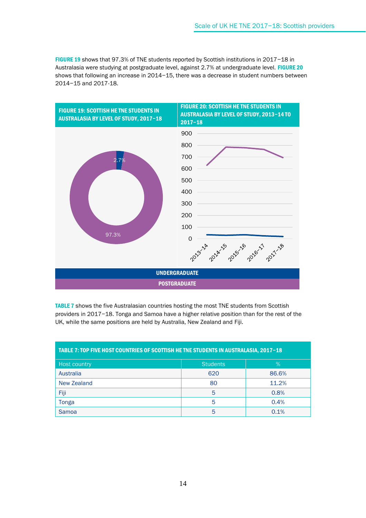FIGURE 19 shows that 97.3% of TNE students reported by Scottish institutions in 2017−18 in Australasia were studying at postgraduate level, against 2.7% at undergraduate level. FIGURE 20 shows that following an increase in 2014−15, there was a decrease in student numbers between 2014−15 and 2017-18.



TABLE 7 shows the five Australasian countries hosting the most TNE students from Scottish providers in 2017−18. Tonga and Samoa have a higher relative position than for the rest of the UK, while the same positions are held by Australia, New Zealand and Fiji.

| TABLE 7: TOP FIVE HOST COUNTRIES OF SCOTTISH HE TNE STUDENTS IN AUSTRALASIA, 2017-18 |                 |       |  |
|--------------------------------------------------------------------------------------|-----------------|-------|--|
| Host country                                                                         | <b>Students</b> | $\%$  |  |
| Australia                                                                            | 620             | 86.6% |  |
| <b>New Zealand</b>                                                                   | 80              | 11.2% |  |
| Fiji                                                                                 | 5               | 0.8%  |  |
| <b>Tonga</b>                                                                         | 5               | 0.4%  |  |
| Samoa                                                                                | 5               | 0.1%  |  |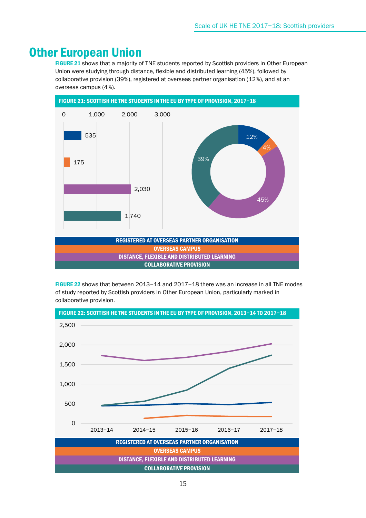## Other European Union

FIGURE 21 shows that a majority of TNE students reported by Scottish providers in Other European Union were studying through distance, flexible and distributed learning (45%), followed by collaborative provision (39%), registered at overseas partner organisation (12%), and at an overseas campus (4%).



FIGURE 22 shows that between 2013−14 and 2017−18 there was an increase in all TNE modes of study reported by Scottish providers in Other European Union, particularly marked in collaborative provision.

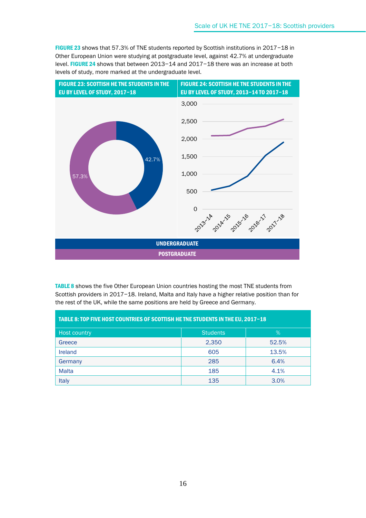FIGURE 23 shows that 57.3% of TNE students reported by Scottish institutions in 2017−18 in Other European Union were studying at postgraduate level, against 42.7% at undergraduate level. FIGURE 24 shows that between 2013−14 and 2017−18 there was an increase at both levels of study, more marked at the undergraduate level.



TABLE 8 shows the five Other European Union countries hosting the most TNE students from Scottish providers in 2017−18. Ireland, Malta and Italy have a higher relative position than for the rest of the UK, while the same positions are held by Greece and Germany.

| TABLE 8: TOP FIVE HOST COUNTRIES OF SCOTTISH HE TNE STUDENTS IN THE EU, 2017-18 |                 |       |  |  |
|---------------------------------------------------------------------------------|-----------------|-------|--|--|
| <b>Host country</b>                                                             | <b>Students</b> | $\%$  |  |  |
| Greece                                                                          | 2,350           | 52.5% |  |  |
| Ireland                                                                         | 605             | 13.5% |  |  |
| Germany                                                                         | 285             | 6.4%  |  |  |
| Malta                                                                           | 185             | 4.1%  |  |  |
| Italy                                                                           | 135             | 3.0%  |  |  |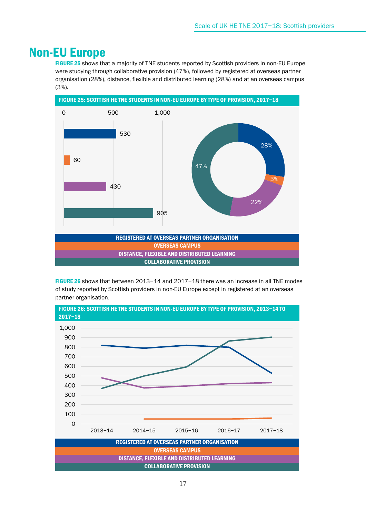## Non-EU Europe

FIGURE 25 shows that a majority of TNE students reported by Scottish providers in non-EU Europe were studying through collaborative provision (47%), followed by registered at overseas partner organisation (28%), distance, flexible and distributed learning (28%) and at an overseas campus (3%).



FIGURE 26 shows that between 2013−14 and 2017−18 there was an increase in all TNE modes of study reported by Scottish providers in non-EU Europe except in registered at an overseas partner organisation.

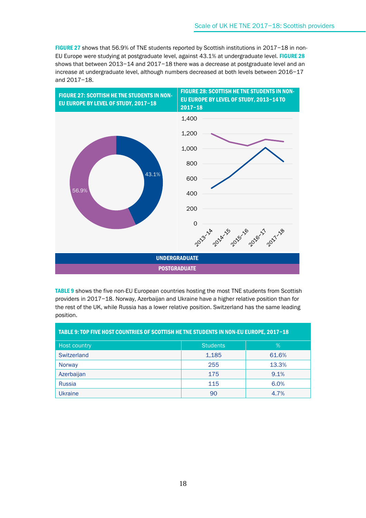FIGURE 27 shows that 56.9% of TNE students reported by Scottish institutions in 2017−18 in non-EU Europe were studying at postgraduate level, against 43.1% at undergraduate level. FIGURE 28 shows that between 2013−14 and 2017−18 there was a decrease at postgraduate level and an increase at undergraduate level, although numbers decreased at both levels between 2016−17 and 2017−18.



TABLE 9 shows the five non-EU European countries hosting the most TNE students from Scottish providers in 2017−18. Norway, Azerbaijan and Ukraine have a higher relative position than for the rest of the UK, while Russia has a lower relative position. Switzerland has the same leading position.

| TABLE 9: TOP FIVE HOST COUNTRIES OF SCOTTISH HE TNE STUDENTS IN NON-EU EUROPE, 2017-18 |                 |       |  |  |
|----------------------------------------------------------------------------------------|-----------------|-------|--|--|
| Host country                                                                           | <b>Students</b> | $\%$  |  |  |
| Switzerland                                                                            | 1,185           | 61.6% |  |  |
| Norway                                                                                 | 255             | 13.3% |  |  |
| Azerbaijan                                                                             | 175             | 9.1%  |  |  |
| <b>Russia</b>                                                                          | 115             | 6.0%  |  |  |
| <b>Ukraine</b>                                                                         | 90              | 4.7%  |  |  |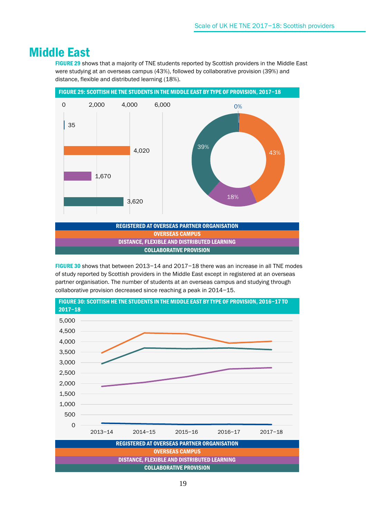### Middle East

FIGURE 29 shows that a majority of TNE students reported by Scottish providers in the Middle East were studying at an overseas campus (43%), followed by collaborative provision (39%) and distance, flexible and distributed learning (18%).



FIGURE 30 shows that between 2013−14 and 2017−18 there was an increase in all TNE modes of study reported by Scottish providers in the Middle East except in registered at an overseas partner organisation. The number of students at an overseas campus and studying through collaborative provision decreased since reaching a peak in 2014−15.

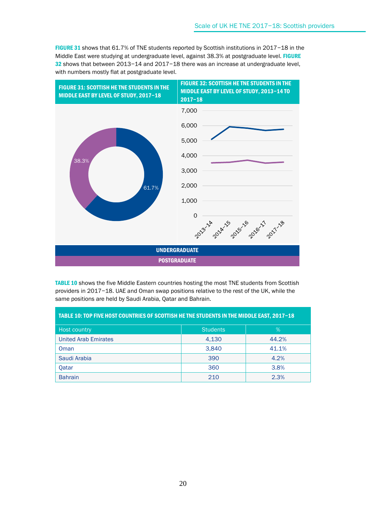FIGURE 31 shows that 61.7% of TNE students reported by Scottish institutions in 2017−18 in the Middle East were studying at undergraduate level, against 38.3% at postgraduate level. FIGURE 32 shows that between 2013−14 and 2017−18 there was an increase at undergraduate level, with numbers mostly flat at postgraduate level.



TABLE 10 shows the five Middle Eastern countries hosting the most TNE students from Scottish providers in 2017−18. UAE and Oman swap positions relative to the rest of the UK, while the same positions are held by Saudi Arabia, Qatar and Bahrain.

| TABLE 10: TOP FIVE HOST COUNTRIES OF SCOTTISH HE TNE STUDENTS IN THE MIDDLE EAST, 2017-18 |                 |       |  |  |
|-------------------------------------------------------------------------------------------|-----------------|-------|--|--|
| Host country                                                                              | <b>Students</b> | $\%$  |  |  |
| <b>United Arab Emirates</b>                                                               | 4,130           | 44.2% |  |  |
| Oman                                                                                      | 3,840           | 41.1% |  |  |
| Saudi Arabia                                                                              | 390             | 4.2%  |  |  |
| Qatar                                                                                     | 360             | 3.8%  |  |  |
| <b>Bahrain</b>                                                                            | 210             | 2.3%  |  |  |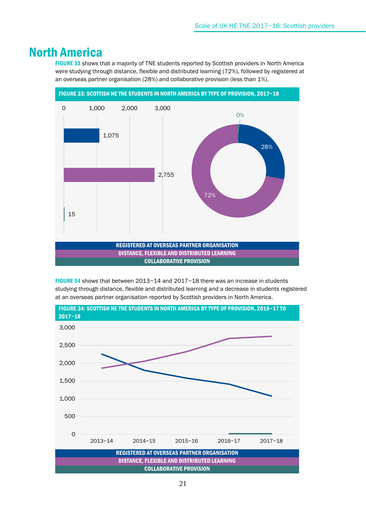## North America

FIGURE 33 shows that a majority of TNE students reported by Scottish providers in North America were studying through distance, flexible and distributed learning (72%), followed by registered at an overseas partner organisation (28%) and collaborative provision (less than 1%).



FIGURE 34 shows that between 2013−14 and 2017−18 there was an increase in students studying through distance, flexible and distributed learning and a decrease in students registered at an overseas partner organisation reported by Scottish providers in North America.

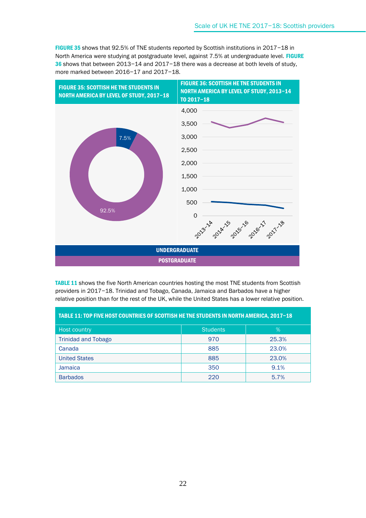FIGURE 35 shows that 92.5% of TNE students reported by Scottish institutions in 2017−18 in North America were studying at postgraduate level, against 7.5% at undergraduate level. FIGURE 36 shows that between 2013−14 and 2017−18 there was a decrease at both levels of study, more marked between 2016−17 and 2017−18.



TABLE 11 shows the five North American countries hosting the most TNE students from Scottish providers in 2017−18. Trinidad and Tobago, Canada, Jamaica and Barbados have a higher relative position than for the rest of the UK, while the United States has a lower relative position.

| TABLE 11: TOP FIVE HOST COUNTRIES OF SCOTTISH HE TNE STUDENTS IN NORTH AMERICA, 2017-18 |                 |       |  |  |
|-----------------------------------------------------------------------------------------|-----------------|-------|--|--|
| Host country                                                                            | <b>Students</b> | $\%$  |  |  |
| <b>Trinidad and Tobago</b>                                                              | 970             | 25.3% |  |  |
| Canada                                                                                  | 885             | 23.0% |  |  |
| <b>United States</b>                                                                    | 885             | 23.0% |  |  |
| <b>Jamaica</b>                                                                          | 350             | 9.1%  |  |  |
| <b>Barbados</b>                                                                         | 220             | 5.7%  |  |  |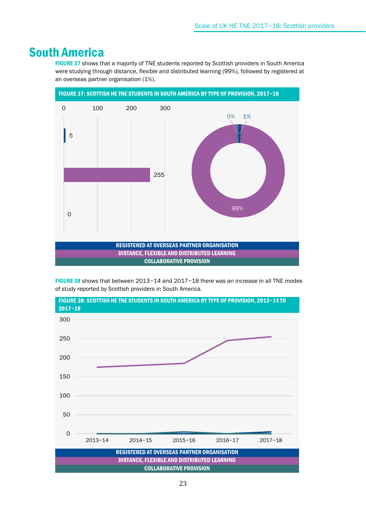### South America

FIGURE 37 shows that a majority of TNE students reported by Scottish providers in South America were studying through distance, flexible and distributed learning (99%), followed by registered at an overseas partner organisation (1%).



FIGURE 38 shows that between 2013−14 and 2017−18 there was an increase in all TNE modes of study reported by Scottish providers in South America.

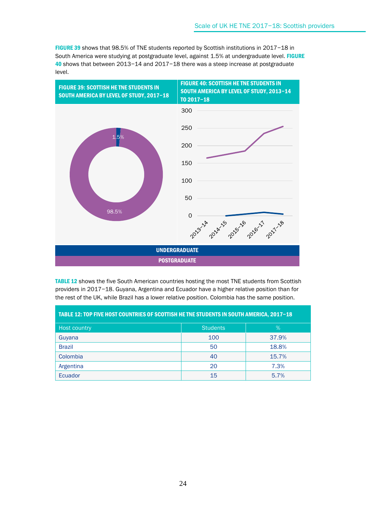FIGURE 39 shows that 98.5% of TNE students reported by Scottish institutions in 2017−18 in South America were studying at postgraduate level, against 1.5% at undergraduate level. FIGURE 40 shows that between 2013−14 and 2017−18 there was a steep increase at postgraduate level.



TABLE 12 shows the five South American countries hosting the most TNE students from Scottish providers in 2017−18. Guyana, Argentina and Ecuador have a higher relative position than for the rest of the UK, while Brazil has a lower relative position. Colombia has the same position.

| TABLE 12: TOP FIVE HOST COUNTRIES OF SCOTTISH HE TNE STUDENTS IN SOUTH AMERICA, 2017-18 |                 |       |  |  |
|-----------------------------------------------------------------------------------------|-----------------|-------|--|--|
| <b>Host country</b>                                                                     | <b>Students</b> | $\%$  |  |  |
| Guyana                                                                                  | 100             | 37.9% |  |  |
| <b>Brazil</b>                                                                           | 50              | 18.8% |  |  |
| Colombia                                                                                | 40              | 15.7% |  |  |
| Argentina                                                                               | 20              | 7.3%  |  |  |
| Ecuador                                                                                 | 15              | 5.7%  |  |  |